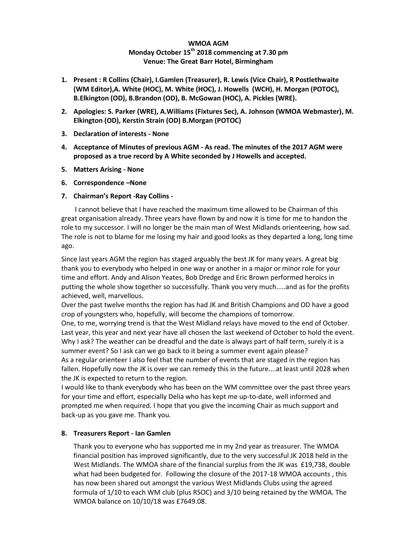# **WMOA AGM Monday October 15th 2018 commencing at 7.30 pm Venue: The Great Barr Hotel, Birmingham**

- **1. Present : R Collins (Chair), I.Gamlen (Treasurer), R. Lewis (Vice Chair), R Postlethwaite (WM Editor),A. White (HOC), M. White (HOC), J. Howells (WCH), H. Morgan (POTOC), B.Elkington (OD), B.Brandon (OD), B. McGowan (HOC), A. Pickles (WRE).**
- **2. Apologies: S. Parker (WRE), A.Williams (Fixtures Sec), A. Johnson (WMOA Webmaster), M. Elkington (OD), Kerstin Strain (OD) B.Morgan (POTOC)**
- **3. Declaration of interests - None**
- **4. Acceptance of Minutes of previous AGM - As read. The minutes of the 2017 AGM were proposed as a true record by A White seconded by J Howells and accepted.**
- **5. Matters Arising - None**
- **6. Correspondence –None**
- **7. Chairman's Report -Ray Collins -**

 I cannot believe that I have reached the maximum time allowed to be Chairman of this great organisation already. Three years have flown by and now it is time for me to handon the role to my successor. I will no longer be the main man of West Midlands orienteering, how sad. The role is not to blame for me losing my hair and good looks as they departed a long, long time ago.

Since last years AGM the region has staged arguably the best JK for many years. A great big thank you to everybody who helped in one way or another in a major or minor role for your time and effort. Andy and Alison Yeates, Bob Dredge and Eric Brown performed heroics in putting the whole show together so successfully. Thank you very much.....and as for the profits achieved, well, marvellous.

Over the past twelve months the region has had JK and British Champions and OD have a good crop of youngsters who, hopefully, will become the champions of tomorrow.

One, to me, worrying trend is that the West Midland relays have moved to the end of October. Last year, this year and next year have all chosen the last weekend of October to hold the event. Why I ask? The weather can be dreadful and the date is always part of half term, surely it is a summer event? So I ask can we go back to it being a summer event again please? As a regular orienteer I also feel that the number of events that are staged in the region has fallen. Hopefully now the JK is over we can remedy this in the future....at least until 2028 when the JK is expected to return to the region.

I would like to thank everybody who has been on the WM committee over the past three years for your time and effort, especially Delia who has kept me up-to-date, well informed and prompted me when required. I hope that you give the incoming Chair as much support and back-up as you gave me. Thank you.

## **8. Treasurers Report - Ian Gamlen**

Thank you to everyone who has supported me in my 2nd year as treasurer. The WMOA financial position has improved significantly, due to the very successful JK 2018 held in the West Midlands. The WMOA share of the financial surplus from the JK was £19,738, double what had been budgeted for. Following the closure of the 2017-18 WMOA accounts , this has now been shared out amongst the various West Midlands Clubs using the agreed formula of 1/10 to each WM club (plus RSOC) and 3/10 being retained by the WMOA. The WMOA balance on 10/10/18 was £7649.08.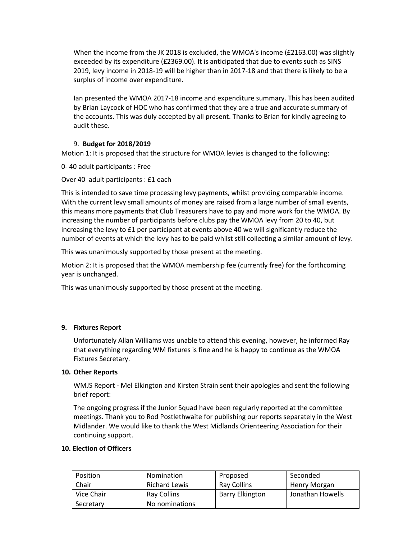When the income from the JK 2018 is excluded, the WMOA's income (£2163.00) was slightly exceeded by its expenditure (£2369.00). It is anticipated that due to events such as SINS 2019, levy income in 2018-19 will be higher than in 2017-18 and that there is likely to be a surplus of income over expenditure.

Ian presented the WMOA 2017-18 income and expenditure summary. This has been audited by Brian Laycock of HOC who has confirmed that they are a true and accurate summary of the accounts. This was duly accepted by all present. Thanks to Brian for kindly agreeing to audit these.

## 9. **Budget for 2018/2019**

Motion 1: It is proposed that the structure for WMOA levies is changed to the following:

0- 40 adult participants : Free

Over 40 adult participants : £1 each

This is intended to save time processing levy payments, whilst providing comparable income. With the current levy small amounts of money are raised from a large number of small events, this means more payments that Club Treasurers have to pay and more work for the WMOA. By increasing the number of participants before clubs pay the WMOA levy from 20 to 40, but increasing the levy to £1 per participant at events above 40 we will significantly reduce the number of events at which the levy has to be paid whilst still collecting a similar amount of levy.

This was unanimously supported by those present at the meeting.

Motion 2: It is proposed that the WMOA membership fee (currently free) for the forthcoming year is unchanged.

This was unanimously supported by those present at the meeting.

## **9. Fixtures Report**

Unfortunately Allan Williams was unable to attend this evening, however, he informed Ray that everything regarding WM fixtures is fine and he is happy to continue as the WMOA Fixtures Secretary.

## **10. Other Reports**

WMJS Report - Mel Elkington and Kirsten Strain sent their apologies and sent the following brief report:

The ongoing progress if the Junior Squad have been regularly reported at the committee meetings. Thank you to Rod Postlethwaite for publishing our reports separately in the West Midlander. We would like to thank the West Midlands Orienteering Association for their continuing support.

## **10. Election of Officers**

| <b>Position</b> | Nomination           | Proposed               | Seconded         |
|-----------------|----------------------|------------------------|------------------|
| Chair           | <b>Richard Lewis</b> | <b>Ray Collins</b>     | Henry Morgan     |
| Vice Chair      | Ray Collins          | <b>Barry Elkington</b> | Jonathan Howells |
| Secretary       | No nominations       |                        |                  |